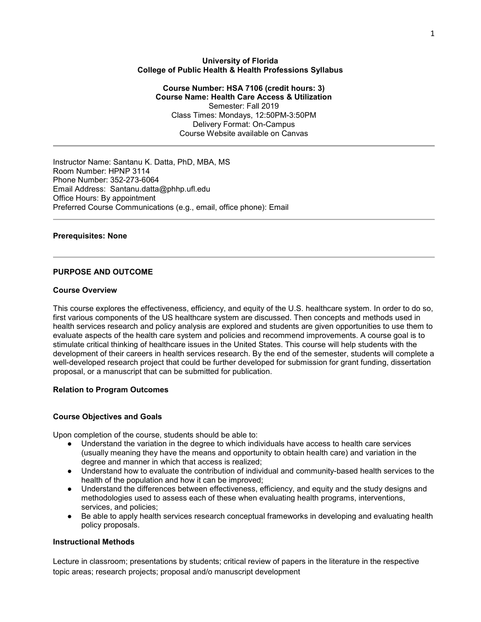### **University of Florida College of Public Health & Health Professions Syllabus**

**Course Number: HSA 7106 (credit hours: 3) Course Name: Health Care Access & Utilization** Semester: Fall 2019 Class Times: Mondays, 12:50PM-3:50PM Delivery Format: On-Campus Course Website available on Canvas

Instructor Name: Santanu K. Datta, PhD, MBA, MS Room Number: HPNP 3114 Phone Number: 352-273-6064 Email Address: Santanu.datta@phhp.ufl.edu Office Hours: By appointment Preferred Course Communications (e.g., email, office phone): Email

# **Prerequisites: None**

# **PURPOSE AND OUTCOME**

#### **Course Overview**

This course explores the effectiveness, efficiency, and equity of the U.S. healthcare system. In order to do so, first various components of the US healthcare system are discussed. Then concepts and methods used in health services research and policy analysis are explored and students are given opportunities to use them to evaluate aspects of the health care system and policies and recommend improvements. A course goal is to stimulate critical thinking of healthcare issues in the United States. This course will help students with the development of their careers in health services research. By the end of the semester, students will complete a well-developed research project that could be further developed for submission for grant funding, dissertation proposal, or a manuscript that can be submitted for publication.

# **Relation to Program Outcomes**

# **Course Objectives and Goals**

Upon completion of the course, students should be able to:

- Understand the variation in the degree to which individuals have access to health care services (usually meaning they have the means and opportunity to obtain health care) and variation in the degree and manner in which that access is realized;
- Understand how to evaluate the contribution of individual and community-based health services to the health of the population and how it can be improved;
- Understand the differences between effectiveness, efficiency, and equity and the study designs and methodologies used to assess each of these when evaluating health programs, interventions, services, and policies;
- Be able to apply health services research conceptual frameworks in developing and evaluating health policy proposals.

# **Instructional Methods**

Lecture in classroom; presentations by students; critical review of papers in the literature in the respective topic areas; research projects; proposal and/o manuscript development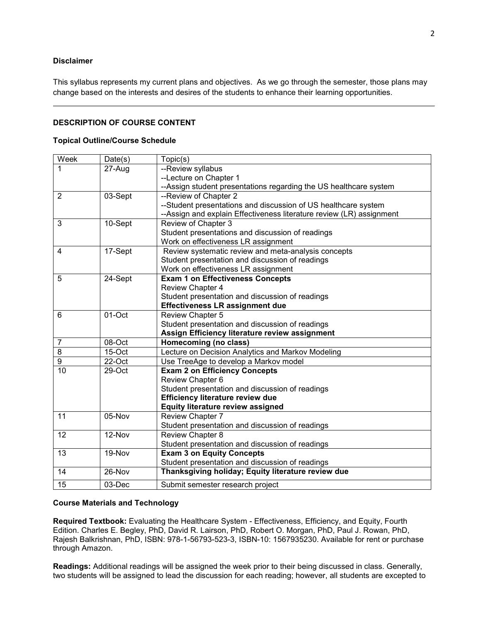# **Disclaimer**

This syllabus represents my current plans and objectives. As we go through the semester, those plans may change based on the interests and desires of the students to enhance their learning opportunities.

# **DESCRIPTION OF COURSE CONTENT**

#### **Topical Outline/Course Schedule**

| Week            | Date(s) | Topic(s)                                                             |  |  |  |  |  |  |  |
|-----------------|---------|----------------------------------------------------------------------|--|--|--|--|--|--|--|
| 1               | 27-Aug  | --Review syllabus                                                    |  |  |  |  |  |  |  |
|                 |         | --Lecture on Chapter 1                                               |  |  |  |  |  |  |  |
|                 |         | --Assign student presentations regarding the US healthcare system    |  |  |  |  |  |  |  |
| $\overline{2}$  | 03-Sept | --Review of Chapter 2                                                |  |  |  |  |  |  |  |
|                 |         | --Student presentations and discussion of US healthcare system       |  |  |  |  |  |  |  |
|                 |         | --Assign and explain Effectiveness literature review (LR) assignment |  |  |  |  |  |  |  |
| 3               | 10-Sept | Review of Chapter 3                                                  |  |  |  |  |  |  |  |
|                 |         | Student presentations and discussion of readings                     |  |  |  |  |  |  |  |
|                 |         | Work on effectiveness LR assignment                                  |  |  |  |  |  |  |  |
| 4               | 17-Sept | Review systematic review and meta-analysis concepts                  |  |  |  |  |  |  |  |
|                 |         | Student presentation and discussion of readings                      |  |  |  |  |  |  |  |
|                 |         | Work on effectiveness LR assignment                                  |  |  |  |  |  |  |  |
| 5               | 24-Sept | <b>Exam 1 on Effectiveness Concepts</b>                              |  |  |  |  |  |  |  |
|                 |         | Review Chapter 4                                                     |  |  |  |  |  |  |  |
|                 |         | Student presentation and discussion of readings                      |  |  |  |  |  |  |  |
|                 |         | <b>Effectiveness LR assignment due</b>                               |  |  |  |  |  |  |  |
| 6               | 01-Oct  | Review Chapter 5                                                     |  |  |  |  |  |  |  |
|                 |         | Student presentation and discussion of readings                      |  |  |  |  |  |  |  |
|                 |         | Assign Efficiency literature review assignment                       |  |  |  |  |  |  |  |
| 7               | 08-Oct  | Homecoming (no class)                                                |  |  |  |  |  |  |  |
| $\overline{8}$  | 15-Oct  | Lecture on Decision Analytics and Markov Modeling                    |  |  |  |  |  |  |  |
| $\overline{9}$  | 22-Oct  | Use TreeAge to develop a Markov model                                |  |  |  |  |  |  |  |
| $\overline{10}$ | 29-Oct  | <b>Exam 2 on Efficiency Concepts</b>                                 |  |  |  |  |  |  |  |
|                 |         | Review Chapter 6                                                     |  |  |  |  |  |  |  |
|                 |         | Student presentation and discussion of readings                      |  |  |  |  |  |  |  |
|                 |         | Efficiency literature review due                                     |  |  |  |  |  |  |  |
|                 |         | <b>Equity literature review assigned</b>                             |  |  |  |  |  |  |  |
| 11              | 05-Nov  | Review Chapter 7                                                     |  |  |  |  |  |  |  |
|                 |         | Student presentation and discussion of readings                      |  |  |  |  |  |  |  |
| 12              | 12-Nov  | Review Chapter 8                                                     |  |  |  |  |  |  |  |
|                 |         | Student presentation and discussion of readings                      |  |  |  |  |  |  |  |
| 13              | 19-Nov  | <b>Exam 3 on Equity Concepts</b>                                     |  |  |  |  |  |  |  |
|                 |         | Student presentation and discussion of readings                      |  |  |  |  |  |  |  |
| 14              | 26-Nov  | Thanksgiving holiday; Equity literature review due                   |  |  |  |  |  |  |  |
| 15              | 03-Dec  | Submit semester research project                                     |  |  |  |  |  |  |  |

# **Course Materials and Technology**

**Required Textbook:** Evaluating the Healthcare System - Effectiveness, Efficiency, and Equity, Fourth Edition. Charles E. Begley, PhD, David R. Lairson, PhD, Robert O. Morgan, PhD, Paul J. Rowan, PhD, Rajesh Balkrishnan, PhD, ISBN: 978-1-56793-523-3, ISBN-10: 1567935230. Available for rent or purchase through Amazon.

**Readings:** Additional readings will be assigned the week prior to their being discussed in class. Generally, two students will be assigned to lead the discussion for each reading; however, all students are excepted to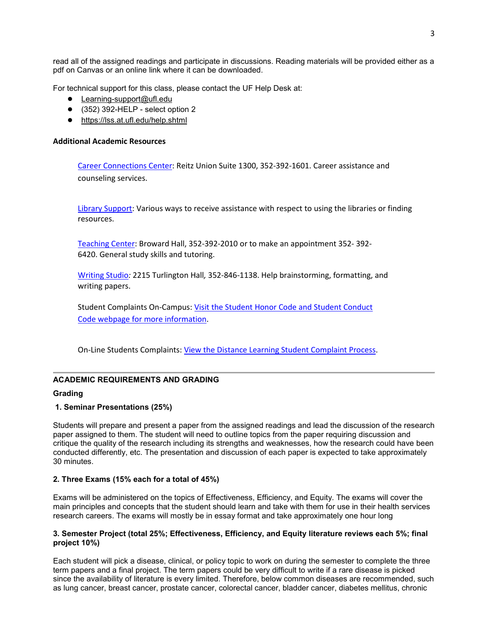read all of the assigned readings and participate in discussions. Reading materials will be provided either as a pdf on Canvas or an online link where it can be downloaded.

For technical support for this class, please contact the UF Help Desk at:

- [Learning-support@ufl.edu](about:blank)
- $\bullet$  (352) 392-HELP select option 2
- <https://lss.at.ufl.edu/help.shtml>

# **Additional Academic Resources**

[Career Connections Center:](https://career.ufl.edu/) Reitz Union Suite 1300, 352-392-1601. Career assistance and counseling services.

[Library Support:](https://cms.uflib.ufl.edu/ask) Various ways to receive assistance with respect to using the libraries or finding resources.

[Teaching Center:](https://teachingcenter.ufl.edu/) Broward Hall, 352-392-2010 or to make an appointment 352- 392- 6420. General study skills and tutoring.

[Writing Studio](https://writing.ufl.edu/writing-studio/)*:* 2215 Turlington Hall*,* 352-846-1138. Help brainstorming, formatting, and writing papers.

Student Complaints On-Campus: [Visit the Student Honor Code and Student Conduct](https://sccr.dso.ufl.edu/policies/student-honor-%20code-student-conduct-code/)  [Code webpage for more information.](https://sccr.dso.ufl.edu/policies/student-honor-%20code-student-conduct-code/)

On-Line Students Complaints: [View the Distance Learning Student Complaint Process.](https://distance.ufl.edu/getting-help/student-complaint-process/)

# **ACADEMIC REQUIREMENTS AND GRADING**

# **Grading**

# **1. Seminar Presentations (25%)**

Students will prepare and present a paper from the assigned readings and lead the discussion of the research paper assigned to them. The student will need to outline topics from the paper requiring discussion and critique the quality of the research including its strengths and weaknesses, how the research could have been conducted differently, etc. The presentation and discussion of each paper is expected to take approximately 30 minutes.

# **2. Three Exams (15% each for a total of 45%)**

Exams will be administered on the topics of Effectiveness, Efficiency, and Equity. The exams will cover the main principles and concepts that the student should learn and take with them for use in their health services research careers. The exams will mostly be in essay format and take approximately one hour long

# **3. Semester Project (total 25%; Effectiveness, Efficiency, and Equity literature reviews each 5%; final project 10%)**

Each student will pick a disease, clinical, or policy topic to work on during the semester to complete the three term papers and a final project. The term papers could be very difficult to write if a rare disease is picked since the availability of literature is every limited. Therefore, below common diseases are recommended, such as lung cancer, breast cancer, prostate cancer, colorectal cancer, bladder cancer, diabetes mellitus, chronic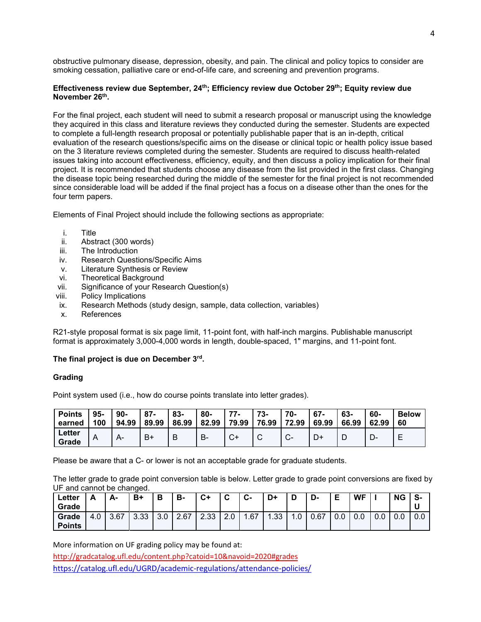obstructive pulmonary disease, depression, obesity, and pain. The clinical and policy topics to consider are smoking cessation, palliative care or end-of-life care, and screening and prevention programs.

# Effectiveness review due September, 24<sup>th</sup>; Efficiency review due October 29<sup>th</sup>; Equity review due **November 26th.**

For the final project, each student will need to submit a research proposal or manuscript using the knowledge they acquired in this class and literature reviews they conducted during the semester. Students are expected to complete a full-length research proposal or potentially publishable paper that is an in-depth, critical evaluation of the research questions/specific aims on the disease or clinical topic or health policy issue based on the 3 literature reviews completed during the semester. Students are required to discuss health-related issues taking into account effectiveness, efficiency, equity, and then discuss a policy implication for their final project. It is recommended that students choose any disease from the list provided in the first class. Changing the disease topic being researched during the middle of the semester for the final project is not recommended since considerable load will be added if the final project has a focus on a disease other than the ones for the four term papers.

Elements of Final Project should include the following sections as appropriate:

- i. Title
- ii. Abstract (300 words)<br>iii. The Introduction
- The Introduction
- iv. Research Questions/Specific Aims
- v. Literature Synthesis or Review
- vi. Theoretical Background
- vii. Significance of your Research Question(s)
- viii. Policy Implications
- ix. Research Methods (study design, sample, data collection, variables)
- x. References

R21-style proposal format is six page limit, 11-point font, with half-inch margins. Publishable manuscript format is approximately 3,000-4,000 words in length, double-spaced, 1" margins, and 11-point font.

# **The final project is due on December 3rd.**

# **Grading**

Point system used (i.e., how do course points translate into letter grades).

| <b>Points</b>   | 95- | $90 -$ | $87 -$ | 83-   | -80   | 77                       | 73-   | 70-          | 67-   | 63-   | 60-   | <b>Below</b> |
|-----------------|-----|--------|--------|-------|-------|--------------------------|-------|--------------|-------|-------|-------|--------------|
| earned          | 100 | 94.99  | 89.99  | 86.99 | 82.99 | 79.99                    | 76.99 | 72.99        | 69.99 | 66.99 | 62.99 | 60           |
| Letter<br>Grade | A   |        | В+     | B     | В-    | $\sim$<br>$\mathbf{v}^+$ |       | $\mathbf{v}$ | ∽     | L     | − ⊃   |              |

Please be aware that a C- or lower is not an acceptable grade for graduate students.

The letter grade to grade point conversion table is below. Letter grade to grade point conversions are fixed by UF and cannot be changed.

| Letter<br>Grade        | Δ<br>-      | A-   | B+   | в               | в-   | C+   | $\sim$<br>ັ         | ◠<br>ັບ− | D+  | R<br>ш | D-   | Е   | <b>WF</b> |     | <b>NG</b> | S-<br>u |
|------------------------|-------------|------|------|-----------------|------|------|---------------------|----------|-----|--------|------|-----|-----------|-----|-----------|---------|
| Grade<br><b>Points</b> | $+0.1$<br>4 | 3.67 | 3.33 | $\Omega$<br>J.U | 2.67 | 2.33 | $\sim$<br>C.<br>z.u | 1.67     | .33 | . J    | 0.67 | v.v | 0.0       | 0.0 | 0.0       | 0.0     |

More information on UF grading policy may be found at:

<http://gradcatalog.ufl.edu/content.php?catoid=10&navoid=2020#grades> <https://catalog.ufl.edu/UGRD/academic-regulations/attendance-policies/>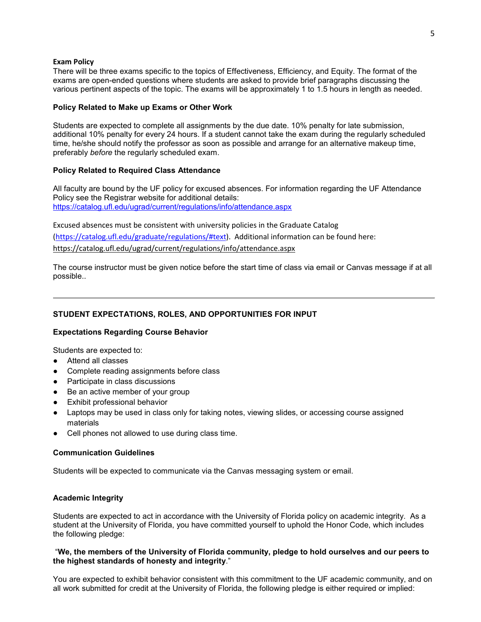#### **Exam Policy**

There will be three exams specific to the topics of Effectiveness, Efficiency, and Equity. The format of the exams are open-ended questions where students are asked to provide brief paragraphs discussing the various pertinent aspects of the topic. The exams will be approximately 1 to 1.5 hours in length as needed.

### **Policy Related to Make up Exams or Other Work**

Students are expected to complete all assignments by the due date. 10% penalty for late submission, additional 10% penalty for every 24 hours. If a student cannot take the exam during the regularly scheduled time, he/she should notify the professor as soon as possible and arrange for an alternative makeup time, preferably *before* the regularly scheduled exam.

# **Policy Related to Required Class Attendance**

All faculty are bound by the UF policy for excused absences. For information regarding the UF Attendance Policy see the Registrar website for additional details: <https://catalog.ufl.edu/ugrad/current/regulations/info/attendance.aspx>

Excused absences must be consistent with university policies in the Graduate Catalog [\(https://catalog.ufl.edu/graduate/regulations/#text\)](https://catalog.ufl.edu/graduate/regulations/#text). Additional information can be found here: <https://catalog.ufl.edu/ugrad/current/regulations/info/attendance.aspx>

The course instructor must be given notice before the start time of class via email or Canvas message if at all possible..

# **STUDENT EXPECTATIONS, ROLES, AND OPPORTUNITIES FOR INPUT**

# **Expectations Regarding Course Behavior**

Students are expected to:

- Attend all classes
- Complete reading assignments before class
- Participate in class discussions
- Be an active member of your group
- **Exhibit professional behavior**
- Laptops may be used in class only for taking notes, viewing slides, or accessing course assigned materials
- Cell phones not allowed to use during class time.

# **Communication Guidelines**

Students will be expected to communicate via the Canvas messaging system or email.

# **Academic Integrity**

Students are expected to act in accordance with the University of Florida policy on academic integrity. As a student at the University of Florida, you have committed yourself to uphold the Honor Code, which includes the following pledge:

# "**We, the members of the University of Florida community, pledge to hold ourselves and our peers to the highest standards of honesty and integrity**."

You are expected to exhibit behavior consistent with this commitment to the UF academic community, and on all work submitted for credit at the University of Florida, the following pledge is either required or implied: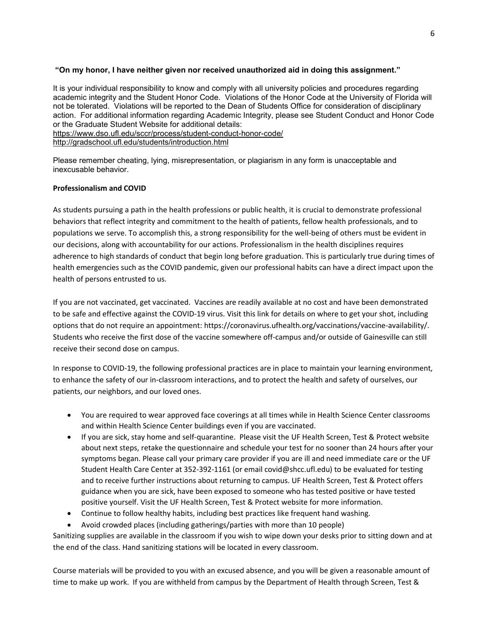# **"On my honor, I have neither given nor received unauthorized aid in doing this assignment."**

It is your individual responsibility to know and comply with all university policies and procedures regarding academic integrity and the Student Honor Code. Violations of the Honor Code at the University of Florida will not be tolerated. Violations will be reported to the Dean of Students Office for consideration of disciplinary action. For additional information regarding Academic Integrity, please see Student Conduct and Honor Code or the Graduate Student Website for additional details: <https://www.dso.ufl.edu/sccr/process/student-conduct-honor-code/>

<http://gradschool.ufl.edu/students/introduction.html>

Please remember cheating, lying, misrepresentation, or plagiarism in any form is unacceptable and inexcusable behavior.

# **Professionalism and COVID**

As students pursuing a path in the health professions or public health, it is crucial to demonstrate professional behaviors that reflect integrity and commitment to the health of patients, fellow health professionals, and to populations we serve. To accomplish this, a strong responsibility for the well-being of others must be evident in our decisions, along with accountability for our actions. Professionalism in the health disciplines requires adherence to high standards of conduct that begin long before graduation. This is particularly true during times of health emergencies such as the COVID pandemic, given our professional habits can have a direct impact upon the health of persons entrusted to us.

If you are not vaccinated, get vaccinated. Vaccines are readily available at no cost and have been demonstrated to be safe and effective against the COVID-19 virus. Visit this link for details on where to get your shot, including options that do not require an appointment: https://coronavirus.ufhealth.org/vaccinations/vaccine-availability/. Students who receive the first dose of the vaccine somewhere off-campus and/or outside of Gainesville can still receive their second dose on campus.

In response to COVID-19, the following professional practices are in place to maintain your learning environment, to enhance the safety of our in-classroom interactions, and to protect the health and safety of ourselves, our patients, our neighbors, and our loved ones.

- You are required to wear approved face coverings at all times while in Health Science Center classrooms and within Health Science Center buildings even if you are vaccinated.
- If you are sick, stay home and self-quarantine. Please visit the UF Health Screen, Test & Protect website about next steps, retake the questionnaire and schedule your test for no sooner than 24 hours after your symptoms began. Please call your primary care provider if you are ill and need immediate care or the UF Student Health Care Center at 352-392-1161 (or email covid@shcc.ufl.edu) to be evaluated for testing and to receive further instructions about returning to campus. UF Health Screen, Test & Protect offers guidance when you are sick, have been exposed to someone who has tested positive or have tested positive yourself. Visit the UF Health Screen, Test & Protect website for more information.
- Continue to follow healthy habits, including best practices like frequent hand washing.
- Avoid crowded places (including gatherings/parties with more than 10 people)

Sanitizing supplies are available in the classroom if you wish to wipe down your desks prior to sitting down and at the end of the class. Hand sanitizing stations will be located in every classroom.

Course materials will be provided to you with an excused absence, and you will be given a reasonable amount of time to make up work. If you are withheld from campus by the Department of Health through Screen, Test &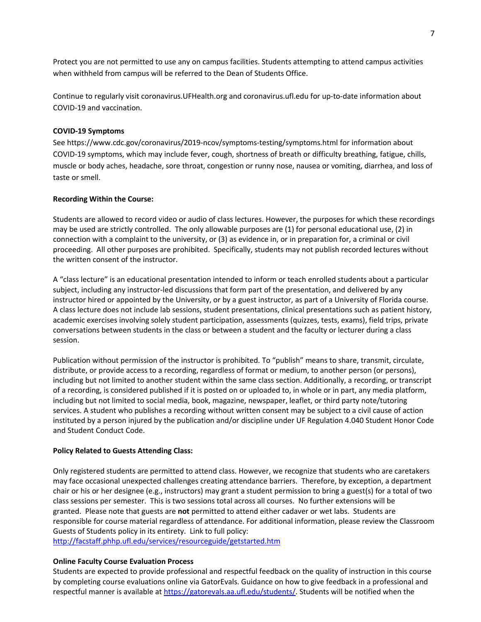Protect you are not permitted to use any on campus facilities. Students attempting to attend campus activities when withheld from campus will be referred to the Dean of Students Office.

Continue to regularly visit coronavirus.UFHealth.org and coronavirus.ufl.edu for up-to-date information about COVID-19 and vaccination.

### **COVID-19 Symptoms**

See https://www.cdc.gov/coronavirus/2019-ncov/symptoms-testing/symptoms.html for information about COVID-19 symptoms, which may include fever, cough, shortness of breath or difficulty breathing, fatigue, chills, muscle or body aches, headache, sore throat, congestion or runny nose, nausea or vomiting, diarrhea, and loss of taste or smell.

#### **Recording Within the Course:**

Students are allowed to record video or audio of class lectures. However, the purposes for which these recordings may be used are strictly controlled. The only allowable purposes are (1) for personal educational use, (2) in connection with a complaint to the university, or (3) as evidence in, or in preparation for, a criminal or civil proceeding. All other purposes are prohibited. Specifically, students may not publish recorded lectures without the written consent of the instructor.

A "class lecture" is an educational presentation intended to inform or teach enrolled students about a particular subject, including any instructor-led discussions that form part of the presentation, and delivered by any instructor hired or appointed by the University, or by a guest instructor, as part of a University of Florida course. A class lecture does not include lab sessions, student presentations, clinical presentations such as patient history, academic exercises involving solely student participation, assessments (quizzes, tests, exams), field trips, private conversations between students in the class or between a student and the faculty or lecturer during a class session.

Publication without permission of the instructor is prohibited. To "publish" means to share, transmit, circulate, distribute, or provide access to a recording, regardless of format or medium, to another person (or persons), including but not limited to another student within the same class section. Additionally, a recording, or transcript of a recording, is considered published if it is posted on or uploaded to, in whole or in part, any media platform, including but not limited to social media, book, magazine, newspaper, leaflet, or third party note/tutoring services. A student who publishes a recording without written consent may be subject to a civil cause of action instituted by a person injured by the publication and/or discipline under UF Regulation 4.040 Student Honor Code and Student Conduct Code.

# **Policy Related to Guests Attending Class:**

Only registered students are permitted to attend class. However, we recognize that students who are caretakers may face occasional unexpected challenges creating attendance barriers. Therefore, by exception, a department chair or his or her designee (e.g., instructors) may grant a student permission to bring a guest(s) for a total of two class sessions per semester. This is two sessions total across all courses. No further extensions will be granted. Please note that guests are **not** permitted to attend either cadaver or wet labs. Students are responsible for course material regardless of attendance. For additional information, please review the Classroom Guests of Students policy in its entirety. Link to full policy:

<http://facstaff.phhp.ufl.edu/services/resourceguide/getstarted.htm>

# **Online Faculty Course Evaluation Process**

Students are expected to provide professional and respectful feedback on the quality of instruction in this course by completing course evaluations online via GatorEvals. Guidance on how to give feedback in a professional and respectful manner is available at [https://gatorevals.aa.ufl.edu/students/.](https://gatorevals.aa.ufl.edu/students/) Students will be notified when the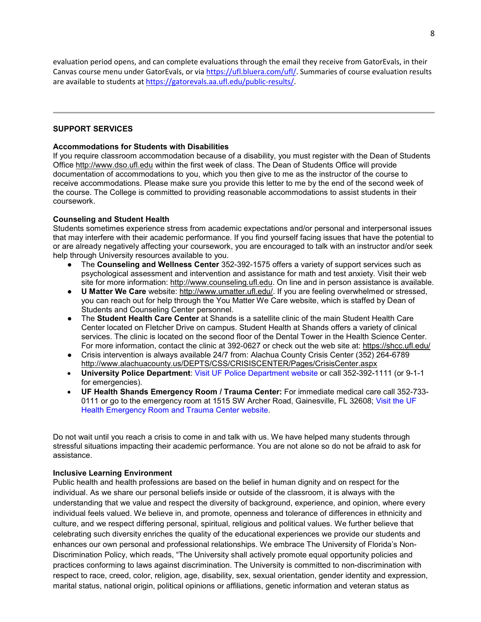evaluation period opens, and can complete evaluations through the email they receive from GatorEvals, in their Canvas course menu under GatorEvals, or via [https://ufl.bluera.com/ufl/.](https://urldefense.proofpoint.com/v2/url?u=https-3A__ufl.bluera.com_ufl_&d=DwMFAg&c=sJ6xIWYx-zLMB3EPkvcnVg&r=y2HjEMjRMHJhfdvLrqJZlYczRsfp5e4TfQjHuc5rVHg&m=WXko6OK_Ha6T00ZVAsEaSh99qRXHOgMNFRywCoehRho&s=itVU46DDJjnIg4CW6efJOOLgPjdzsPvCghyfzJoFONs&e=) Summaries of course evaluation results are available to students at [https://gatorevals.aa.ufl.edu/public-results/.](https://gatorevals.aa.ufl.edu/public-results/)

# **SUPPORT SERVICES**

# **Accommodations for Students with Disabilities**

If you require classroom accommodation because of a disability, you must register with the Dean of Students Office [http://www.dso.ufl.edu](http://www.dso.ufl.edu/) within the first week of class. The Dean of Students Office will provide documentation of accommodations to you, which you then give to me as the instructor of the course to receive accommodations. Please make sure you provide this letter to me by the end of the second week of the course. The College is committed to providing reasonable accommodations to assist students in their coursework.

# **Counseling and Student Health**

Students sometimes experience stress from academic expectations and/or personal and interpersonal issues that may interfere with their academic performance. If you find yourself facing issues that have the potential to or are already negatively affecting your coursework, you are encouraged to talk with an instructor and/or seek help through University resources available to you.

- The **Counseling and Wellness Center** 352-392-1575 offers a variety of support services such as psychological assessment and intervention and assistance for math and test anxiety. Visit their web site for more information: [http://www.counseling.ufl.edu.](http://www.counseling.ufl.edu/) On line and in person assistance is available.
- **U Matter We Care** website: [http://www.umatter.ufl.edu/.](http://www.umatter.ufl.edu/) If you are feeling overwhelmed or stressed, you can reach out for help through the You Matter We Care website, which is staffed by Dean of Students and Counseling Center personnel.
- The **Student Health Care Center** at Shands is a satellite clinic of the main Student Health Care Center located on Fletcher Drive on campus. Student Health at Shands offers a variety of clinical services. The clinic is located on the second floor of the Dental Tower in the Health Science Center. For more information, contact the clinic at 392-0627 or check out the web site at: <https://shcc.ufl.edu/>
- Crisis intervention is always available 24/7 from: Alachua County Crisis Center (352) 264-6789 <http://www.alachuacounty.us/DEPTS/CSS/CRISISCENTER/Pages/CrisisCenter.aspx>
- **University Police Department**: [Visit UF Police Department website](https://police.ufl.edu/) or call 352-392-1111 (or 9-1-1 for emergencies).
- **UF Health Shands Emergency Room / Trauma Center:** For immediate medical care call 352-733- 0111 or go to the emergency room at 1515 SW Archer Road, Gainesville, FL 32608; [Visit the UF](https://ufhealth.org/emergency-room-trauma-center)  [Health Emergency Room and Trauma Center website.](https://ufhealth.org/emergency-room-trauma-center)

Do not wait until you reach a crisis to come in and talk with us. We have helped many students through stressful situations impacting their academic performance. You are not alone so do not be afraid to ask for assistance.

# **Inclusive Learning Environment**

Public health and health professions are based on the belief in human dignity and on respect for the individual. As we share our personal beliefs inside or outside of the classroom, it is always with the understanding that we value and respect the diversity of background, experience, and opinion, where every individual feels valued. We believe in, and promote, openness and tolerance of differences in ethnicity and culture, and we respect differing personal, spiritual, religious and political values. We further believe that celebrating such diversity enriches the quality of the educational experiences we provide our students and enhances our own personal and professional relationships. We embrace The University of Florida's Non-Discrimination Policy, which reads, "The University shall actively promote equal opportunity policies and practices conforming to laws against discrimination. The University is committed to non-discrimination with respect to race, creed, color, religion, age, disability, sex, sexual orientation, gender identity and expression, marital status, national origin, political opinions or affiliations, genetic information and veteran status as